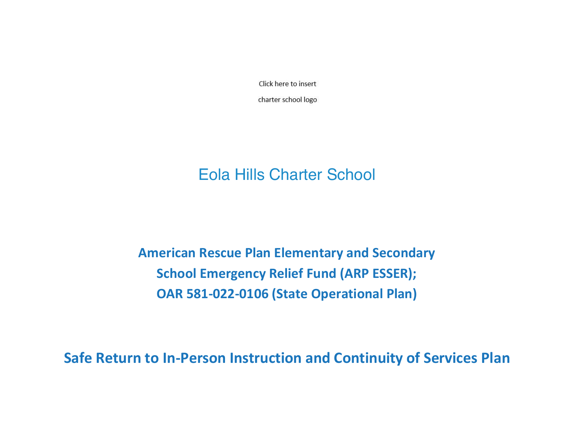Click here to insert

charter school logo

# Eola Hills Charter School

**American Rescue Plan Elementary and Secondary School Emergency Relief Fund (ARP ESSER); OAR 581-022-0106 (State Operational Plan)** 

**Safe Return to In-Person Instruction and Continuity of Services Plan**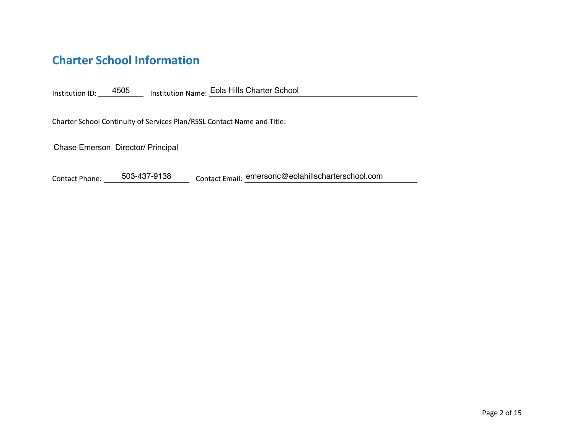## **Charter School Information**

Institution ID: 4505 Institution Name: Eola Hills Charter School

Charter School Continuity of Services Plan/RSSL Contact Name and Title:

Chase Emerson Director/ Principal

Contact Phone: \_\_\_\_\_503-437-9138 \_\_\_\_\_\_ Contact Email: <u>emersonc@eolahillscharterschool.com</u>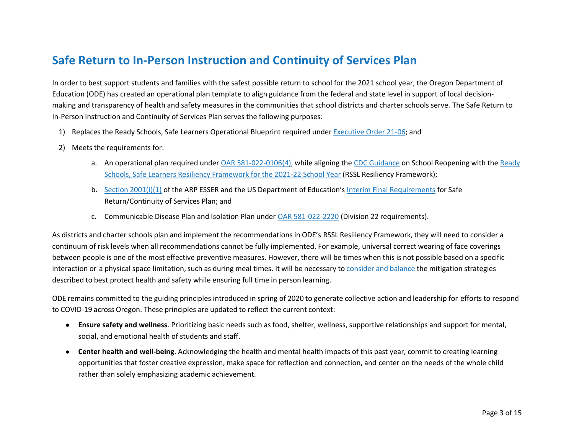## **Safe Return to In-Person Instruction and Continuity of Services Plan**

In order to best support students and families with the safest possible return to school for the 2021 school year, the Oregon Department of Education (ODE) has created an operational plan template to align guidance from the federal and state level in support of local decisionmaking and transparency of health and safety measures in the communities that school districts and charter schools serve. The Safe Return to In-Person Instruction and Continuity of Services Plan serves the following purposes:

- 1) Replaces the Ready Schools, Safe Learners Operational Blueprint required under Executive Order 21-06; and
- 2) Meets the requirements for:
	- a. An operational plan required under OAR 581-022-0106(4), while aligning the CDC Guidance on School Reopening with the Ready Schools, Safe Learners Resiliency Framework for the 2021-22 School Year (RSSL Resiliency Framework);
	- b. Section 2001(i)(1) of the ARP ESSER and the US Department of Education's Interim Final Requirements for Safe Return/Continuity of Services Plan; and
	- c. Communicable Disease Plan and Isolation Plan under OAR 581-022-2220 (Division 22 requirements).

As districts and charter schools plan and implement the recommendations in ODE's RSSL Resiliency Framework, they will need to consider a continuum of risk levels when all recommendations cannot be fully implemented. For example, universal correct wearing of face coverings between people is one of the most effective preventive measures. However, there will be times when this is not possible based on a specific interaction or a physical space limitation, such as during meal times. It will be necessary to consider and balance the mitigation strategies described to best protect health and safety while ensuring full time in person learning.

ODE remains committed to the guiding principles introduced in spring of 2020 to generate collective action and leadership for efforts to respond to COVID-19 across Oregon. These principles are updated to reflect the current context:

- **Ensure safety and wellness**. Prioritizing basic needs such as food, shelter, wellness, supportive relationships and support for mental, social, and emotional health of students and staff.
- **Center health and well-being**. Acknowledging the health and mental health impacts of this past year, commit to creating learning opportunities that foster creative expression, make space for reflection and connection, and center on the needs of the whole child rather than solely emphasizing academic achievement.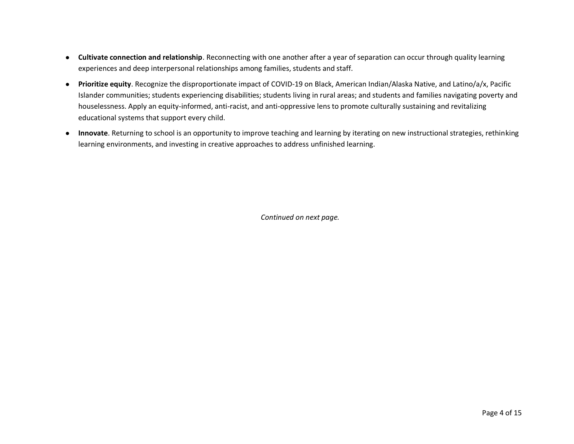- **Cultivate connection and relationship**. Reconnecting with one another after a year of separation can occur through quality learning experiences and deep interpersonal relationships among families, students and staff.
- **Prioritize equity**. Recognize the disproportionate impact of COVID-19 on Black, American Indian/Alaska Native, and Latino/a/x, Pacific Islander communities; students experiencing disabilities; students living in rural areas; and students and families navigating poverty and houselessness. Apply an equity-informed, anti-racist, and anti-oppressive lens to promote culturally sustaining and revitalizing educational systems that support every child.
- **Innovate**. Returning to school is an opportunity to improve teaching and learning by iterating on new instructional strategies, rethinking learning environments, and investing in creative approaches to address unfinished learning.

*Continued on next page.*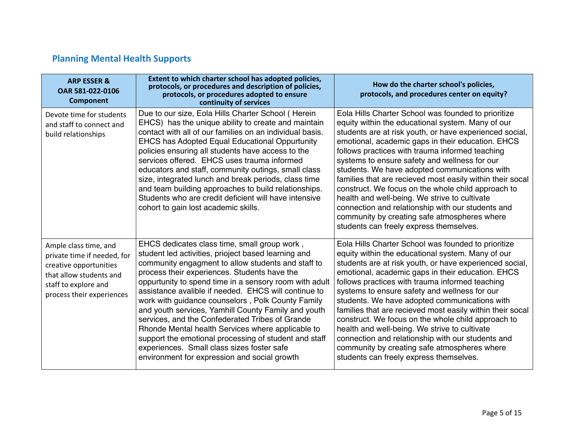## **Planning Mental Health Supports**

| <b>ARP ESSER &amp;</b><br>OAR 581-022-0106<br><b>Component</b>                                                                                                 | Extent to which charter school has adopted policies,<br>protocols, or procedures and description of policies,<br>protocols, or procedures adopted to ensure<br>continuity of services                                                                                                                                                                                                                                                                                                                                                                                                                                                                                                                  | How do the charter school's policies,<br>protocols, and procedures center on equity?                                                                                                                                                                                                                                                                                                                                                                                                                                                                                                                                                                                                              |
|----------------------------------------------------------------------------------------------------------------------------------------------------------------|--------------------------------------------------------------------------------------------------------------------------------------------------------------------------------------------------------------------------------------------------------------------------------------------------------------------------------------------------------------------------------------------------------------------------------------------------------------------------------------------------------------------------------------------------------------------------------------------------------------------------------------------------------------------------------------------------------|---------------------------------------------------------------------------------------------------------------------------------------------------------------------------------------------------------------------------------------------------------------------------------------------------------------------------------------------------------------------------------------------------------------------------------------------------------------------------------------------------------------------------------------------------------------------------------------------------------------------------------------------------------------------------------------------------|
| Devote time for students<br>and staff to connect and<br>build relationships                                                                                    | Due to our size, Eola Hills Charter School (Herein<br>EHCS) has the unique ability to create and maintain<br>contact with all of our families on an individual basis.<br>EHCS has Adopted Equal Educational Oppurtunity<br>policies ensuring all students have access to the<br>services offered. EHCS uses trauma informed<br>educators and staff, community outings, small class<br>size, integrated lunch and break periods, class time<br>and team building approaches to build relationships.<br>Students who are credit deficient will have intensive<br>cohort to gain lost academic skills.                                                                                                    | Eola Hills Charter School was founded to prioritize<br>equity within the educational system. Many of our<br>students are at risk youth, or have experienced social,<br>emotional, academic gaps in their education. EHCS<br>follows practices with trauma informed teaching<br>systems to ensure safety and wellness for our<br>students. We have adopted communications with<br>families that are recieved most easily within their socal<br>construct. We focus on the whole child approach to<br>health and well-being. We strive to cultivate<br>connection and relationship with our students and<br>community by creating safe atmospheres where<br>students can freely express themselves. |
| Ample class time, and<br>private time if needed, for<br>creative opportunities<br>that allow students and<br>staff to explore and<br>process their experiences | EHCS dedicates class time, small group work,<br>student led activities, prioject based learning and<br>community engagment to allow students and staff to<br>process their experiences. Students have the<br>oppurtunity to spend time in a sensory room with adult<br>assistance avalible if needed. EHCS will continue to<br>work with guidance counselors, Polk County Family<br>and youth services, Yamhill County Family and youth<br>services, and the Confederated Tribes of Grande<br>Rhonde Mental health Services where applicable to<br>support the emotional processing of student and staff<br>experiences. Small class sizes foster safe<br>environment for expression and social growth | Eola Hills Charter School was founded to prioritize<br>equity within the educational system. Many of our<br>students are at risk youth, or have experienced social,<br>emotional, academic gaps in their education. EHCS<br>follows practices with trauma informed teaching<br>systems to ensure safety and wellness for our<br>students. We have adopted communications with<br>families that are recieved most easily within their socal<br>construct. We focus on the whole child approach to<br>health and well-being. We strive to cultivate<br>connection and relationship with our students and<br>community by creating safe atmospheres where<br>students can freely express themselves. |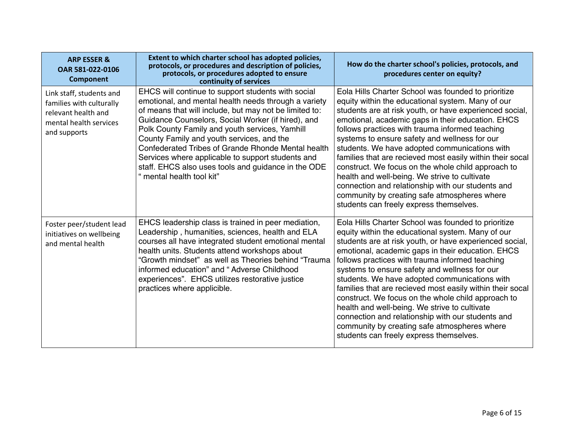| <b>ARP ESSER &amp;</b><br>OAR 581-022-0106<br><b>Component</b>                                                        | Extent to which charter school has adopted policies,<br>protocols, or procedures and description of policies,<br>protocols, or procedures adopted to ensure<br>continuity of services                                                                                                                                                                                                                                                                                                                                    | How do the charter school's policies, protocols, and<br>procedures center on equity?                                                                                                                                                                                                                                                                                                                                                                                                                                                                                                                                                                                                              |
|-----------------------------------------------------------------------------------------------------------------------|--------------------------------------------------------------------------------------------------------------------------------------------------------------------------------------------------------------------------------------------------------------------------------------------------------------------------------------------------------------------------------------------------------------------------------------------------------------------------------------------------------------------------|---------------------------------------------------------------------------------------------------------------------------------------------------------------------------------------------------------------------------------------------------------------------------------------------------------------------------------------------------------------------------------------------------------------------------------------------------------------------------------------------------------------------------------------------------------------------------------------------------------------------------------------------------------------------------------------------------|
| Link staff, students and<br>families with culturally<br>relevant health and<br>mental health services<br>and supports | EHCS will continue to support students with social<br>emotional, and mental health needs through a variety<br>of means that will include, but may not be limited to:<br>Guidance Counselors, Social Worker (if hired), and<br>Polk County Family and youth services, Yamhill<br>County Family and youth services, and the<br>Confederated Tribes of Grande Rhonde Mental health<br>Services where applicable to support students and<br>staff. EHCS also uses tools and guidance in the ODE<br>" mental health tool kit" | Eola Hills Charter School was founded to prioritize<br>equity within the educational system. Many of our<br>students are at risk youth, or have experienced social,<br>emotional, academic gaps in their education. EHCS<br>follows practices with trauma informed teaching<br>systems to ensure safety and wellness for our<br>students. We have adopted communications with<br>families that are recieved most easily within their socal<br>construct. We focus on the whole child approach to<br>health and well-being. We strive to cultivate<br>connection and relationship with our students and<br>community by creating safe atmospheres where<br>students can freely express themselves. |
| Foster peer/student lead<br>initiatives on wellbeing<br>and mental health                                             | EHCS leadership class is trained in peer mediation,<br>Leadership, humanities, sciences, health and ELA<br>courses all have integrated student emotional mental<br>health units. Students attend workshops about<br>"Growth mindset" as well as Theories behind "Trauma<br>informed education" and "Adverse Childhood<br>experiences". EHCS utilizes restorative justice<br>practices where applicible.                                                                                                                  | Eola Hills Charter School was founded to prioritize<br>equity within the educational system. Many of our<br>students are at risk youth, or have experienced social,<br>emotional, academic gaps in their education. EHCS<br>follows practices with trauma informed teaching<br>systems to ensure safety and wellness for our<br>students. We have adopted communications with<br>families that are recieved most easily within their socal<br>construct. We focus on the whole child approach to<br>health and well-being. We strive to cultivate<br>connection and relationship with our students and<br>community by creating safe atmospheres where<br>students can freely express themselves. |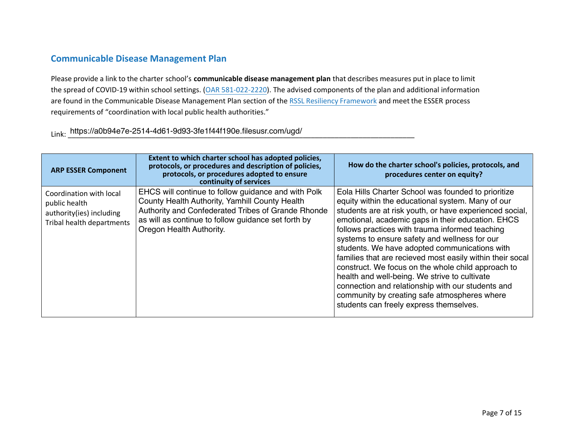#### **Communicable Disease Management Plan**

Please provide a link to the charter school's communicable disease management plan that describes measures put in place to limit the spread of COVID-19 within school settings. (OAR 581-022-2220). The advised components of the plan and additional information are found in the Communicable Disease Management Plan section of the RSSL Resiliency Framework and meet the ESSER process requirements of "coordination with local public health authorities."

>ŝŶŬ͗ ͺͺͺͺͺͺͺͺͺͺͺͺͺͺͺͺͺͺͺͺͺͺͺͺͺͺͺͺͺͺͺͺͺͺͺͺͺͺͺͺͺͺͺͺͺͺͺͺͺͺͺͺͺͺͺͺͺͺͺͺͺͺͺͺͺͺͺͺͺͺͺͺͺͺͺͺͺͺͺͺͺͺͺͺͺͺͺ https://a0b94e7e-2514-4d61-9d93-3fe1f44f190e.filesusr.com/ugd/

| <b>ARP ESSER Component</b>                                                                        | Extent to which charter school has adopted policies,<br>protocols, or procedures and description of policies,<br>protocols, or procedures adopted to ensure<br>continuity of services                                                          | How do the charter school's policies, protocols, and<br>procedures center on equity?                                                                                                                                                                                                                                                                                                                                                                                                                                                                                                                                                                                                              |
|---------------------------------------------------------------------------------------------------|------------------------------------------------------------------------------------------------------------------------------------------------------------------------------------------------------------------------------------------------|---------------------------------------------------------------------------------------------------------------------------------------------------------------------------------------------------------------------------------------------------------------------------------------------------------------------------------------------------------------------------------------------------------------------------------------------------------------------------------------------------------------------------------------------------------------------------------------------------------------------------------------------------------------------------------------------------|
| Coordination with local<br>public health<br>authority(ies) including<br>Tribal health departments | EHCS will continue to follow guidance and with Polk<br>County Health Authority, Yamhill County Health<br>Authority and Confederated Tribes of Grande Rhonde<br>as will as continue to follow guidance set forth by<br>Oregon Health Authority. | Eola Hills Charter School was founded to prioritize<br>equity within the educational system. Many of our<br>students are at risk youth, or have experienced social,<br>emotional, academic gaps in their education. EHCS<br>follows practices with trauma informed teaching<br>systems to ensure safety and wellness for our<br>students. We have adopted communications with<br>families that are recieved most easily within their socal<br>construct. We focus on the whole child approach to<br>health and well-being. We strive to cultivate<br>connection and relationship with our students and<br>community by creating safe atmospheres where<br>students can freely express themselves. |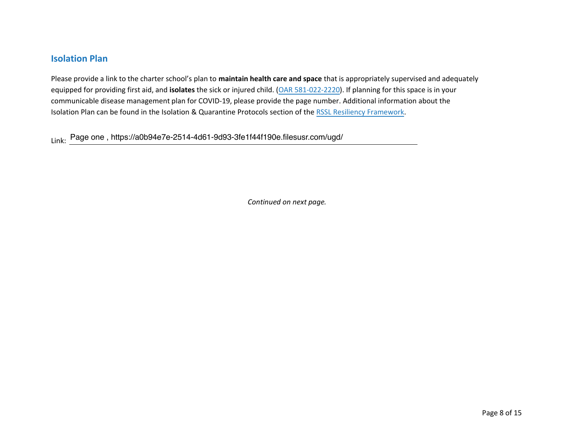#### **Isolation Plan**

Please provide a link to the charter school's plan to maintain health care and space that is appropriately supervised and adequately equipped for providing first aid, and **isolates** the sick or injured child. (OAR 581-022-2220). If planning for this space is in your communicable disease management plan for COVID-19, please provide the page number. Additional information about the Isolation Plan can be found in the Isolation & Quarantine Protocols section of the RSSL Resiliency Framework.

Link: Page one , https://a0b94e7e-2514-4d61-9d93-3fe1f44f190e.filesusr.com/ugd/

*Continued on next page.*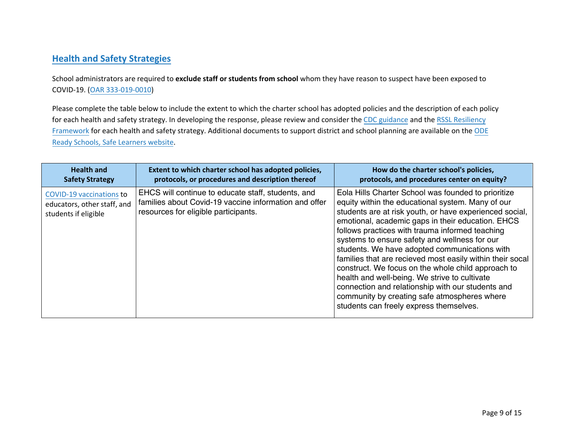#### **Health and Safety Strategies**

School administrators are required to **exclude staff or students from school** whom they have reason to suspect have been exposed to COVID-19. (OAR 333-019-0010)

Please complete the table below to include the extent to which the charter school has adopted policies and the description of each policy for each health and safety strategy. In developing the response, please review and consider the CDC guidance and the RSSL Resiliency Framework for each health and safety strategy. Additional documents to support district and school planning are available on the ODE Ready Schools, Safe Learners website.

| <b>Health and</b>                                                                      | Extent to which charter school has adopted policies,                                                                                                | How do the charter school's policies,                                                                                                                                                                                                                                                                                                                                                                                                                                                                                                                                                                                                                                                             |
|----------------------------------------------------------------------------------------|-----------------------------------------------------------------------------------------------------------------------------------------------------|---------------------------------------------------------------------------------------------------------------------------------------------------------------------------------------------------------------------------------------------------------------------------------------------------------------------------------------------------------------------------------------------------------------------------------------------------------------------------------------------------------------------------------------------------------------------------------------------------------------------------------------------------------------------------------------------------|
| <b>Safety Strategy</b>                                                                 | protocols, or procedures and description thereof                                                                                                    | protocols, and procedures center on equity?                                                                                                                                                                                                                                                                                                                                                                                                                                                                                                                                                                                                                                                       |
| <b>COVID-19 vaccinations to</b><br>educators, other staff, and<br>students if eligible | EHCS will continue to educate staff, students, and<br>families about Covid-19 vaccine information and offer<br>resources for eligible participants. | Eola Hills Charter School was founded to prioritize<br>equity within the educational system. Many of our<br>students are at risk youth, or have experienced social,<br>emotional, academic gaps in their education. EHCS<br>follows practices with trauma informed teaching<br>systems to ensure safety and wellness for our<br>students. We have adopted communications with<br>families that are recieved most easily within their socal<br>construct. We focus on the whole child approach to<br>health and well-being. We strive to cultivate<br>connection and relationship with our students and<br>community by creating safe atmospheres where<br>students can freely express themselves. |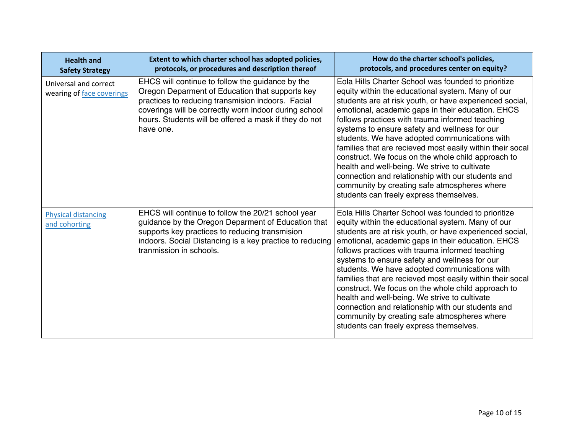| <b>Health and</b><br><b>Safety Strategy</b>        | Extent to which charter school has adopted policies,<br>protocols, or procedures and description thereof                                                                                                                                                                                | How do the charter school's policies,<br>protocols, and procedures center on equity?                                                                                                                                                                                                                                                                                                                                                                                                                                                                                                                                                                                                              |
|----------------------------------------------------|-----------------------------------------------------------------------------------------------------------------------------------------------------------------------------------------------------------------------------------------------------------------------------------------|---------------------------------------------------------------------------------------------------------------------------------------------------------------------------------------------------------------------------------------------------------------------------------------------------------------------------------------------------------------------------------------------------------------------------------------------------------------------------------------------------------------------------------------------------------------------------------------------------------------------------------------------------------------------------------------------------|
| Universal and correct<br>wearing of face coverings | EHCS will continue to follow the guidance by the<br>Oregon Deparment of Education that supports key<br>practices to reducing transmision indoors. Facial<br>coverings will be correctly worn indoor during school<br>hours. Students will be offered a mask if they do not<br>have one. | Eola Hills Charter School was founded to prioritize<br>equity within the educational system. Many of our<br>students are at risk youth, or have experienced social,<br>emotional, academic gaps in their education. EHCS<br>follows practices with trauma informed teaching<br>systems to ensure safety and wellness for our<br>students. We have adopted communications with<br>families that are recieved most easily within their socal<br>construct. We focus on the whole child approach to<br>health and well-being. We strive to cultivate<br>connection and relationship with our students and<br>community by creating safe atmospheres where<br>students can freely express themselves. |
| <b>Physical distancing</b><br>and cohorting        | EHCS will continue to follow the 20/21 school year<br>guidance by the Oregon Deparment of Education that<br>supports key practices to reducing transmision<br>indoors. Social Distancing is a key practice to reducing<br>tranmission in schools.                                       | Eola Hills Charter School was founded to prioritize<br>equity within the educational system. Many of our<br>students are at risk youth, or have experienced social,<br>emotional, academic gaps in their education. EHCS<br>follows practices with trauma informed teaching<br>systems to ensure safety and wellness for our<br>students. We have adopted communications with<br>families that are recieved most easily within their socal<br>construct. We focus on the whole child approach to<br>health and well-being. We strive to cultivate<br>connection and relationship with our students and<br>community by creating safe atmospheres where<br>students can freely express themselves. |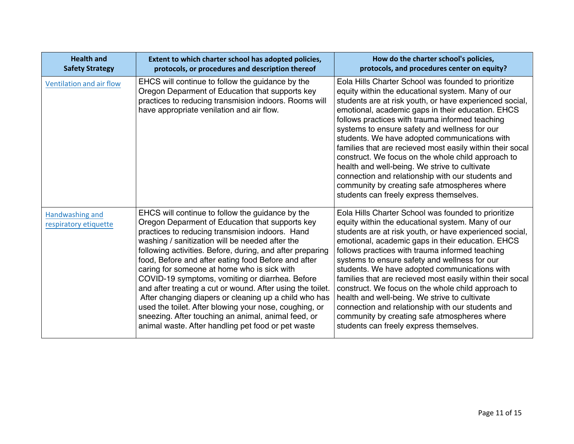| <b>Health and</b><br><b>Safety Strategy</b> | Extent to which charter school has adopted policies,<br>protocols, or procedures and description thereof                                                                                                                                                                                                                                                                                                                                                                                                                                                                                                                                                                                                                      | How do the charter school's policies,<br>protocols, and procedures center on equity?                                                                                                                                                                                                                                                                                                                                                                                                                                                                                                                                                                                                              |
|---------------------------------------------|-------------------------------------------------------------------------------------------------------------------------------------------------------------------------------------------------------------------------------------------------------------------------------------------------------------------------------------------------------------------------------------------------------------------------------------------------------------------------------------------------------------------------------------------------------------------------------------------------------------------------------------------------------------------------------------------------------------------------------|---------------------------------------------------------------------------------------------------------------------------------------------------------------------------------------------------------------------------------------------------------------------------------------------------------------------------------------------------------------------------------------------------------------------------------------------------------------------------------------------------------------------------------------------------------------------------------------------------------------------------------------------------------------------------------------------------|
| Ventilation and air flow                    | EHCS will continue to follow the guidance by the<br>Oregon Deparment of Education that supports key<br>practices to reducing transmision indoors. Rooms will<br>have appropriate venilation and air flow.                                                                                                                                                                                                                                                                                                                                                                                                                                                                                                                     | Eola Hills Charter School was founded to prioritize<br>equity within the educational system. Many of our<br>students are at risk youth, or have experienced social,<br>emotional, academic gaps in their education. EHCS<br>follows practices with trauma informed teaching<br>systems to ensure safety and wellness for our<br>students. We have adopted communications with<br>families that are recieved most easily within their socal<br>construct. We focus on the whole child approach to<br>health and well-being. We strive to cultivate<br>connection and relationship with our students and<br>community by creating safe atmospheres where<br>students can freely express themselves. |
| Handwashing and<br>respiratory etiquette    | EHCS will continue to follow the guidance by the<br>Oregon Deparment of Education that supports key<br>practices to reducing transmision indoors. Hand<br>washing / sanitization will be needed after the<br>following activities. Before, during, and after preparing<br>food, Before and after eating food Before and after<br>caring for someone at home who is sick with<br>COVID-19 symptoms, vomiting or diarrhea. Before<br>and after treating a cut or wound. After using the toilet.<br>After changing diapers or cleaning up a child who has<br>used the toilet. After blowing your nose, coughing, or<br>sneezing. After touching an animal, animal feed, or<br>animal waste. After handling pet food or pet waste | Eola Hills Charter School was founded to prioritize<br>equity within the educational system. Many of our<br>students are at risk youth, or have experienced social,<br>emotional, academic gaps in their education. EHCS<br>follows practices with trauma informed teaching<br>systems to ensure safety and wellness for our<br>students. We have adopted communications with<br>families that are recieved most easily within their socal<br>construct. We focus on the whole child approach to<br>health and well-being. We strive to cultivate<br>connection and relationship with our students and<br>community by creating safe atmospheres where<br>students can freely express themselves. |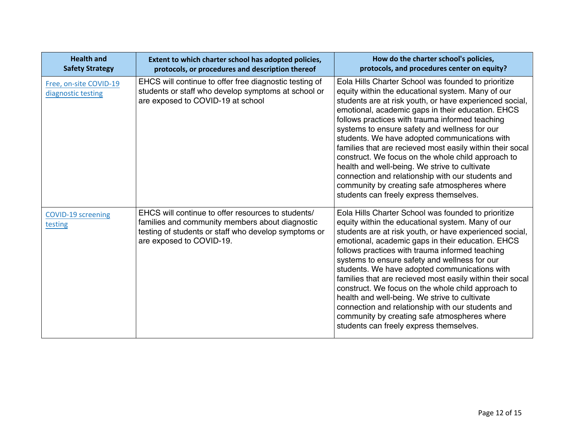| <b>Health and</b><br><b>Safety Strategy</b>  | Extent to which charter school has adopted policies,<br>protocols, or procedures and description thereof                                                                                  | How do the charter school's policies,<br>protocols, and procedures center on equity?                                                                                                                                                                                                                                                                                                                                                                                                                                                                                                                                                                                                              |
|----------------------------------------------|-------------------------------------------------------------------------------------------------------------------------------------------------------------------------------------------|---------------------------------------------------------------------------------------------------------------------------------------------------------------------------------------------------------------------------------------------------------------------------------------------------------------------------------------------------------------------------------------------------------------------------------------------------------------------------------------------------------------------------------------------------------------------------------------------------------------------------------------------------------------------------------------------------|
| Free, on-site COVID-19<br>diagnostic testing | EHCS will continue to offer free diagnostic testing of<br>students or staff who develop symptoms at school or<br>are exposed to COVID-19 at school                                        | Eola Hills Charter School was founded to prioritize<br>equity within the educational system. Many of our<br>students are at risk youth, or have experienced social,<br>emotional, academic gaps in their education. EHCS<br>follows practices with trauma informed teaching<br>systems to ensure safety and wellness for our<br>students. We have adopted communications with<br>families that are recieved most easily within their socal<br>construct. We focus on the whole child approach to<br>health and well-being. We strive to cultivate<br>connection and relationship with our students and<br>community by creating safe atmospheres where<br>students can freely express themselves. |
| <b>COVID-19 screening</b><br>testing         | EHCS will continue to offer resources to students/<br>families and community members about diagnostic<br>testing of students or staff who develop symptoms or<br>are exposed to COVID-19. | Eola Hills Charter School was founded to prioritize<br>equity within the educational system. Many of our<br>students are at risk youth, or have experienced social,<br>emotional, academic gaps in their education. EHCS<br>follows practices with trauma informed teaching<br>systems to ensure safety and wellness for our<br>students. We have adopted communications with<br>families that are recieved most easily within their socal<br>construct. We focus on the whole child approach to<br>health and well-being. We strive to cultivate<br>connection and relationship with our students and<br>community by creating safe atmospheres where<br>students can freely express themselves. |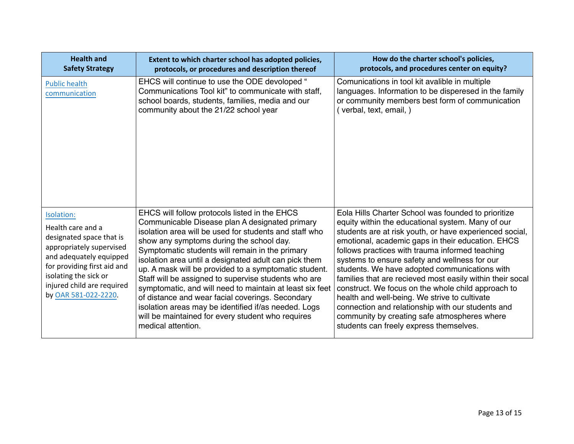| <b>Health and</b><br><b>Safety Strategy</b>                                                                                                                                                                                      | Extent to which charter school has adopted policies,<br>protocols, or procedures and description thereof                                                                                                                                                                                                                                                                                                                                                                                                                                                                                                                                                                              | How do the charter school's policies,<br>protocols, and procedures center on equity?                                                                                                                                                                                                                                                                                                                                                                                                                                                                                                                                                                                                              |
|----------------------------------------------------------------------------------------------------------------------------------------------------------------------------------------------------------------------------------|---------------------------------------------------------------------------------------------------------------------------------------------------------------------------------------------------------------------------------------------------------------------------------------------------------------------------------------------------------------------------------------------------------------------------------------------------------------------------------------------------------------------------------------------------------------------------------------------------------------------------------------------------------------------------------------|---------------------------------------------------------------------------------------------------------------------------------------------------------------------------------------------------------------------------------------------------------------------------------------------------------------------------------------------------------------------------------------------------------------------------------------------------------------------------------------------------------------------------------------------------------------------------------------------------------------------------------------------------------------------------------------------------|
| <b>Public health</b><br>communication                                                                                                                                                                                            | EHCS will continue to use the ODE devoloped "<br>Communications Tool kit" to communicate with staff,<br>school boards, students, families, media and our<br>community about the 21/22 school year                                                                                                                                                                                                                                                                                                                                                                                                                                                                                     | Comunications in tool kit avalible in multiple<br>languages. Information to be disperesed in the family<br>or community members best form of communication<br>(verbal, text, email, )                                                                                                                                                                                                                                                                                                                                                                                                                                                                                                             |
| Isolation:<br>Health care and a<br>designated space that is<br>appropriately supervised<br>and adequately equipped<br>for providing first aid and<br>isolating the sick or<br>injured child are required<br>by OAR 581-022-2220. | EHCS will follow protocols listed in the EHCS<br>Communicable Disease plan A designated primary<br>isolation area will be used for students and staff who<br>show any symptoms during the school day.<br>Symptomatic students will remain in the primary<br>isolation area until a designated adult can pick them<br>up. A mask will be provided to a symptomatic student.<br>Staff will be assigned to supervise students who are<br>symptomatic, and will need to maintain at least six feet<br>of distance and wear facial coverings. Secondary<br>isolation areas may be identified if/as needed. Logs<br>will be maintained for every student who requires<br>medical attention. | Eola Hills Charter School was founded to prioritize<br>equity within the educational system. Many of our<br>students are at risk youth, or have experienced social,<br>emotional, academic gaps in their education. EHCS<br>follows practices with trauma informed teaching<br>systems to ensure safety and wellness for our<br>students. We have adopted communications with<br>families that are recieved most easily within their socal<br>construct. We focus on the whole child approach to<br>health and well-being. We strive to cultivate<br>connection and relationship with our students and<br>community by creating safe atmospheres where<br>students can freely express themselves. |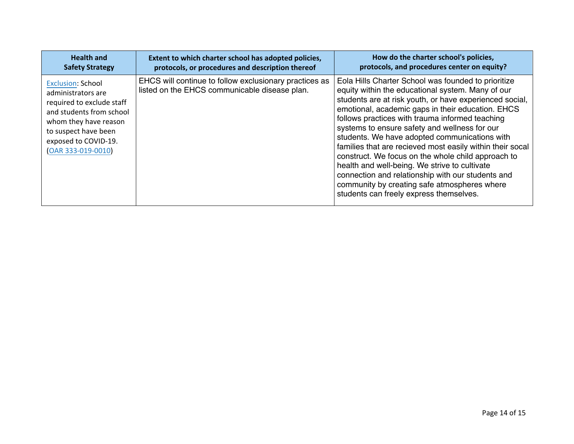| <b>Health and</b>                                                                                                                                                                                      | Extent to which charter school has adopted policies,                                                    | How do the charter school's policies,                                                                                                                                                                                                                                                                                                                                                                                                                                                                                                                                                                                                                                                             |
|--------------------------------------------------------------------------------------------------------------------------------------------------------------------------------------------------------|---------------------------------------------------------------------------------------------------------|---------------------------------------------------------------------------------------------------------------------------------------------------------------------------------------------------------------------------------------------------------------------------------------------------------------------------------------------------------------------------------------------------------------------------------------------------------------------------------------------------------------------------------------------------------------------------------------------------------------------------------------------------------------------------------------------------|
| <b>Safety Strategy</b>                                                                                                                                                                                 | protocols, or procedures and description thereof                                                        | protocols, and procedures center on equity?                                                                                                                                                                                                                                                                                                                                                                                                                                                                                                                                                                                                                                                       |
| <b>Exclusion: School</b><br>administrators are<br>required to exclude staff<br>and students from school<br>whom they have reason<br>to suspect have been<br>exposed to COVID-19.<br>(OAR 333-019-0010) | EHCS will continue to follow exclusionary practices as<br>listed on the EHCS communicable disease plan. | Eola Hills Charter School was founded to prioritize<br>equity within the educational system. Many of our<br>students are at risk youth, or have experienced social,<br>emotional, academic gaps in their education. EHCS<br>follows practices with trauma informed teaching<br>systems to ensure safety and wellness for our<br>students. We have adopted communications with<br>families that are recieved most easily within their socal<br>construct. We focus on the whole child approach to<br>health and well-being. We strive to cultivate<br>connection and relationship with our students and<br>community by creating safe atmospheres where<br>students can freely express themselves. |